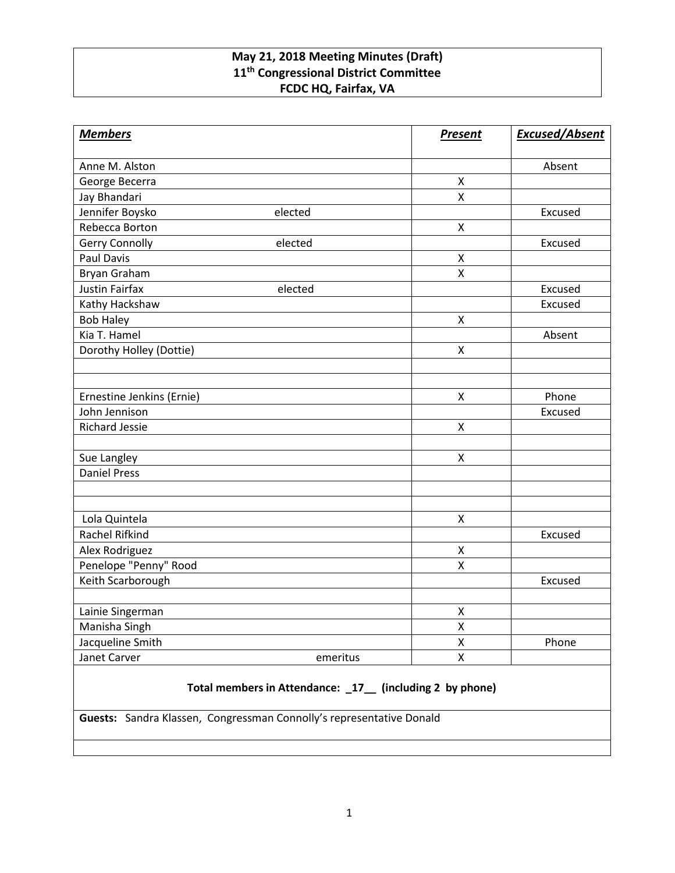## **May 21, 2018 Meeting Minutes (Draft) 11th Congressional District Committee FCDC HQ, Fairfax, VA**

| <b>Members</b>            |          | <b>Present</b>     | <b>Excused/Absent</b> |
|---------------------------|----------|--------------------|-----------------------|
| Anne M. Alston            |          |                    | Absent                |
| George Becerra            |          | X                  |                       |
| Jay Bhandari              |          | $\mathsf{X}$       |                       |
| Jennifer Boysko           | elected  |                    | Excused               |
| Rebecca Borton            |          | $\pmb{\mathsf{X}}$ |                       |
| <b>Gerry Connolly</b>     | elected  |                    | Excused               |
| <b>Paul Davis</b>         |          | X                  |                       |
| <b>Bryan Graham</b>       |          | X                  |                       |
| <b>Justin Fairfax</b>     | elected  |                    | Excused               |
| Kathy Hackshaw            |          |                    | Excused               |
| <b>Bob Haley</b>          |          | $\pmb{\mathsf{X}}$ |                       |
| Kia T. Hamel              |          |                    | Absent                |
| Dorothy Holley (Dottie)   |          | X                  |                       |
|                           |          |                    |                       |
|                           |          |                    |                       |
| Ernestine Jenkins (Ernie) |          | $\pmb{\mathsf{X}}$ | Phone                 |
| John Jennison             |          |                    | Excused               |
| <b>Richard Jessie</b>     |          | $\mathsf{X}$       |                       |
|                           |          |                    |                       |
| Sue Langley               |          | $\pmb{\mathsf{X}}$ |                       |
| <b>Daniel Press</b>       |          |                    |                       |
|                           |          |                    |                       |
|                           |          |                    |                       |
| Lola Quintela             |          | X                  |                       |
| Rachel Rifkind            |          |                    | Excused               |
| Alex Rodriguez            |          | $\pmb{\mathsf{X}}$ |                       |
| Penelope "Penny" Rood     |          | $\pmb{\mathsf{X}}$ |                       |
| Keith Scarborough         |          |                    | Excused               |
|                           |          |                    |                       |
| Lainie Singerman          |          | X                  |                       |
| Manisha Singh             |          | X                  |                       |
| Jacqueline Smith          |          | Χ                  | Phone                 |
| Janet Carver              | emeritus | $\pmb{\mathsf{X}}$ |                       |
|                           |          |                    |                       |

## **Total members in Attendance: \_17\_\_ (including 2 by phone)**

**Guests:** Sandra Klassen, Congressman Connolly's representative Donald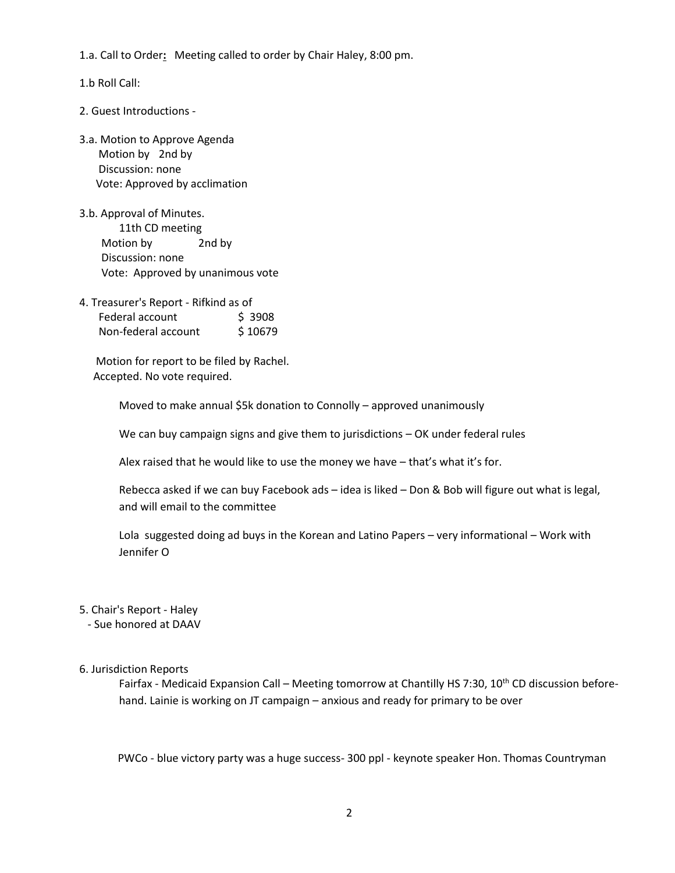1.a. Call to Order**:** Meeting called to order by Chair Haley, 8:00 pm.

1.b Roll Call:

- 2. Guest Introductions -
- 3.a. Motion to Approve Agenda Motion by 2nd by Discussion: none Vote: Approved by acclimation
- 3.b. Approval of Minutes. 11th CD meeting Motion by 2nd by Discussion: none Vote: Approved by unanimous vote
- 4. Treasurer's Report Rifkind as of Federal account \$ 3908 Non-federal account \$10679

 Motion for report to be filed by Rachel. Accepted. No vote required.

Moved to make annual \$5k donation to Connolly – approved unanimously

We can buy campaign signs and give them to jurisdictions – OK under federal rules

Alex raised that he would like to use the money we have – that's what it's for.

Rebecca asked if we can buy Facebook ads – idea is liked – Don & Bob will figure out what is legal, and will email to the committee

Lola suggested doing ad buys in the Korean and Latino Papers – very informational – Work with Jennifer O

## 5. Chair's Report - Haley

- Sue honored at DAAV

## 6. Jurisdiction Reports

Fairfax - Medicaid Expansion Call - Meeting tomorrow at Chantilly HS 7:30, 10<sup>th</sup> CD discussion beforehand. Lainie is working on JT campaign – anxious and ready for primary to be over

PWCo - blue victory party was a huge success- 300 ppl - keynote speaker Hon. Thomas Countryman